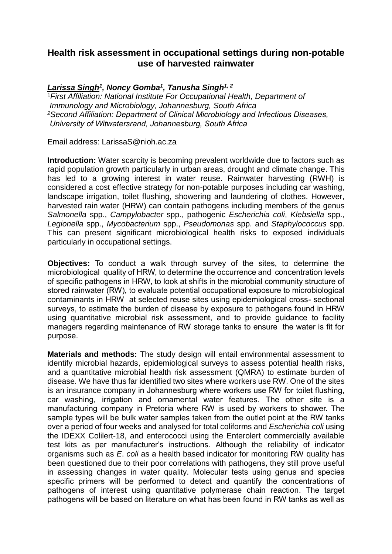## **Health risk assessment in occupational settings during non-potable use of harvested rainwater**

## *Larissa Singh<sup>1</sup> , Noncy Gomba<sup>1</sup> , Tanusha Singh1, 2*

<sup>1</sup>*First Affiliation: National Institute For Occupational Health, Department of Immunology and Microbiology, Johannesburg, South Africa <sup>2</sup>Second Affiliation: Department of Clinical Microbiology and Infectious Diseases, University of Witwatersrand, Johannesburg, South Africa*

Email address: LarissaS@nioh.ac.za

**Introduction:** Water scarcity is becoming prevalent worldwide due to factors such as rapid population growth particularly in urban areas, drought and climate change. This has led to a growing interest in water reuse. Rainwater harvesting (RWH) is considered a cost effective strategy for non-potable purposes including car washing, landscape irrigation, toilet flushing, showering and laundering of clothes. However, harvested rain water (HRW) can contain pathogens including members of the genus *Salmonella* spp., *Campylobacter* spp., pathogenic *Escherichia coli*, *Klebsiella* spp., *Legionella* spp., *Mycobacterium* spp., *Pseudomonas* spp. and *Staphylococcus* spp. This can present significant microbiological health risks to exposed individuals particularly in occupational settings.

**Objectives:** To conduct a walk through survey of the sites, to determine the microbiological quality of HRW, to determine the occurrence and concentration levels of specific pathogens in HRW, to look at shifts in the microbial community structure of stored rainwater (RW), to evaluate potential occupational exposure to microbiological contaminants in HRW at selected reuse sites using epidemiological cross- sectional surveys, to estimate the burden of disease by exposure to pathogens found in HRW using quantitative microbial risk assessment, and to provide guidance to facility managers regarding maintenance of RW storage tanks to ensure the water is fit for purpose.

**Materials and methods:** The study design will entail environmental assessment to identify microbial hazards, epidemiological surveys to assess potential health risks, and a quantitative microbial health risk assessment (QMRA) to estimate burden of disease. We have thus far identified two sites where workers use RW. One of the sites is an insurance company in Johannesburg where workers use RW for toilet flushing, car washing, irrigation and ornamental water features. The other site is a manufacturing company in Pretoria where RW is used by workers to shower. The sample types will be bulk water samples taken from the outlet point at the RW tanks over a period of four weeks and analysed for total coliforms and *Escherichia coli* using the IDEXX Colilert-18, and enterococci using the Enterolert commercially available test kits as per manufacturer's instructions. Although the reliability of indicator organisms such as *E*. *coli* as a health based indicator for monitoring RW quality has been questioned due to their poor correlations with pathogens, they still prove useful in assessing changes in water quality. Molecular tests using genus and species specific primers will be performed to detect and quantify the concentrations of pathogens of interest using quantitative polymerase chain reaction. The target pathogens will be based on literature on what has been found in RW tanks as well as